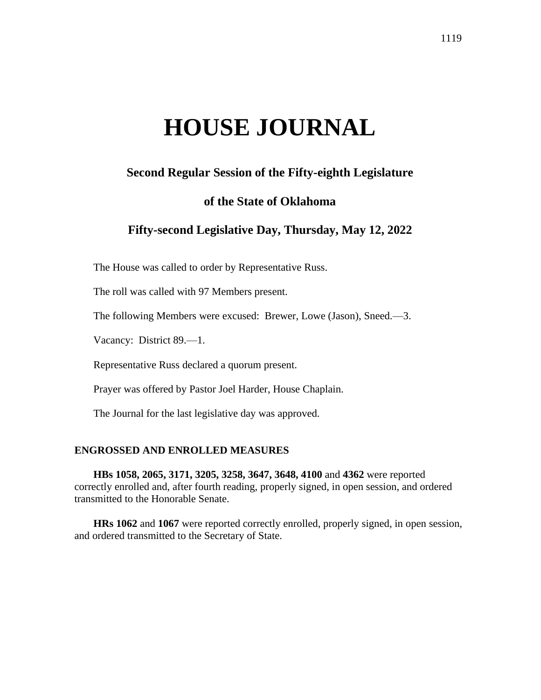# **HOUSE JOURNAL**

# **Second Regular Session of the Fifty-eighth Legislature**

# **of the State of Oklahoma**

# **Fifty-second Legislative Day, Thursday, May 12, 2022**

The House was called to order by Representative Russ.

The roll was called with 97 Members present.

The following Members were excused: Brewer, Lowe (Jason), Sneed.—3.

Vacancy: District 89.—1.

Representative Russ declared a quorum present.

Prayer was offered by Pastor Joel Harder, House Chaplain.

The Journal for the last legislative day was approved.

#### **ENGROSSED AND ENROLLED MEASURES**

**HBs 1058, 2065, 3171, 3205, 3258, 3647, 3648, 4100** and **4362** were reported correctly enrolled and, after fourth reading, properly signed, in open session, and ordered transmitted to the Honorable Senate.

**HRs 1062** and **1067** were reported correctly enrolled, properly signed, in open session, and ordered transmitted to the Secretary of State.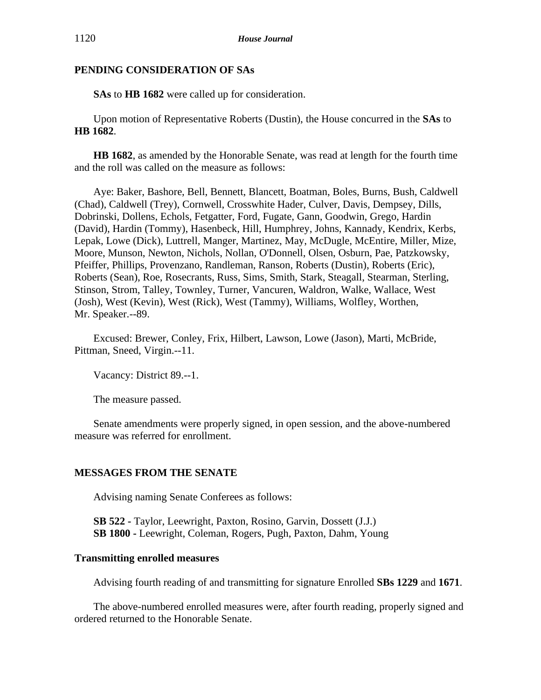## **PENDING CONSIDERATION OF SAs**

**SAs** to **HB 1682** were called up for consideration.

Upon motion of Representative Roberts (Dustin), the House concurred in the **SAs** to **HB 1682**.

**HB 1682**, as amended by the Honorable Senate, was read at length for the fourth time and the roll was called on the measure as follows:

Aye: Baker, Bashore, Bell, Bennett, Blancett, Boatman, Boles, Burns, Bush, Caldwell (Chad), Caldwell (Trey), Cornwell, Crosswhite Hader, Culver, Davis, Dempsey, Dills, Dobrinski, Dollens, Echols, Fetgatter, Ford, Fugate, Gann, Goodwin, Grego, Hardin (David), Hardin (Tommy), Hasenbeck, Hill, Humphrey, Johns, Kannady, Kendrix, Kerbs, Lepak, Lowe (Dick), Luttrell, Manger, Martinez, May, McDugle, McEntire, Miller, Mize, Moore, Munson, Newton, Nichols, Nollan, O'Donnell, Olsen, Osburn, Pae, Patzkowsky, Pfeiffer, Phillips, Provenzano, Randleman, Ranson, Roberts (Dustin), Roberts (Eric), Roberts (Sean), Roe, Rosecrants, Russ, Sims, Smith, Stark, Steagall, Stearman, Sterling, Stinson, Strom, Talley, Townley, Turner, Vancuren, Waldron, Walke, Wallace, West (Josh), West (Kevin), West (Rick), West (Tammy), Williams, Wolfley, Worthen, Mr. Speaker.--89.

Excused: Brewer, Conley, Frix, Hilbert, Lawson, Lowe (Jason), Marti, McBride, Pittman, Sneed, Virgin.--11.

Vacancy: District 89.--1.

The measure passed.

Senate amendments were properly signed, in open session, and the above-numbered measure was referred for enrollment.

# **MESSAGES FROM THE SENATE**

Advising naming Senate Conferees as follows:

**SB 522 -** Taylor, Leewright, Paxton, Rosino, Garvin, Dossett (J.J.) **SB 1800 -** Leewright, Coleman, Rogers, Pugh, Paxton, Dahm, Young

#### **Transmitting enrolled measures**

Advising fourth reading of and transmitting for signature Enrolled **SBs 1229** and **1671**.

The above-numbered enrolled measures were, after fourth reading, properly signed and ordered returned to the Honorable Senate.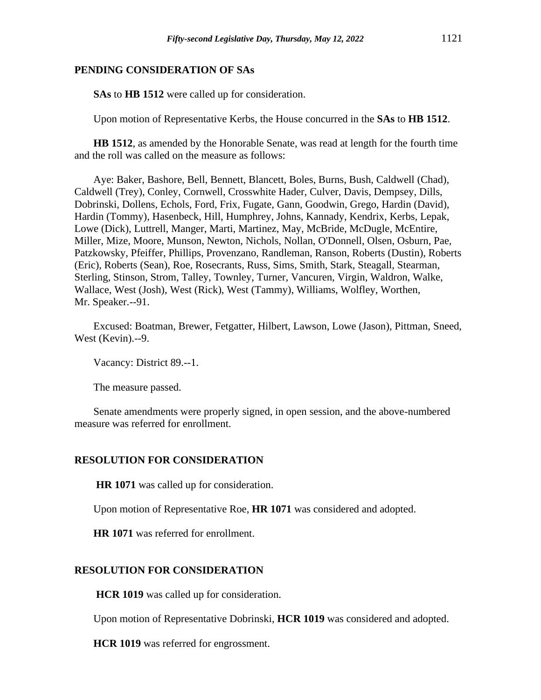#### **PENDING CONSIDERATION OF SAs**

**SAs** to **HB 1512** were called up for consideration.

Upon motion of Representative Kerbs, the House concurred in the **SAs** to **HB 1512**.

**HB 1512**, as amended by the Honorable Senate, was read at length for the fourth time and the roll was called on the measure as follows:

Aye: Baker, Bashore, Bell, Bennett, Blancett, Boles, Burns, Bush, Caldwell (Chad), Caldwell (Trey), Conley, Cornwell, Crosswhite Hader, Culver, Davis, Dempsey, Dills, Dobrinski, Dollens, Echols, Ford, Frix, Fugate, Gann, Goodwin, Grego, Hardin (David), Hardin (Tommy), Hasenbeck, Hill, Humphrey, Johns, Kannady, Kendrix, Kerbs, Lepak, Lowe (Dick), Luttrell, Manger, Marti, Martinez, May, McBride, McDugle, McEntire, Miller, Mize, Moore, Munson, Newton, Nichols, Nollan, O'Donnell, Olsen, Osburn, Pae, Patzkowsky, Pfeiffer, Phillips, Provenzano, Randleman, Ranson, Roberts (Dustin), Roberts (Eric), Roberts (Sean), Roe, Rosecrants, Russ, Sims, Smith, Stark, Steagall, Stearman, Sterling, Stinson, Strom, Talley, Townley, Turner, Vancuren, Virgin, Waldron, Walke, Wallace, West (Josh), West (Rick), West (Tammy), Williams, Wolfley, Worthen, Mr. Speaker.--91.

Excused: Boatman, Brewer, Fetgatter, Hilbert, Lawson, Lowe (Jason), Pittman, Sneed, West (Kevin).--9.

Vacancy: District 89.--1.

The measure passed.

Senate amendments were properly signed, in open session, and the above-numbered measure was referred for enrollment.

#### **RESOLUTION FOR CONSIDERATION**

**HR 1071** was called up for consideration.

Upon motion of Representative Roe, **HR 1071** was considered and adopted.

**HR 1071** was referred for enrollment.

#### **RESOLUTION FOR CONSIDERATION**

**HCR 1019** was called up for consideration.

Upon motion of Representative Dobrinski, **HCR 1019** was considered and adopted.

**HCR 1019** was referred for engrossment.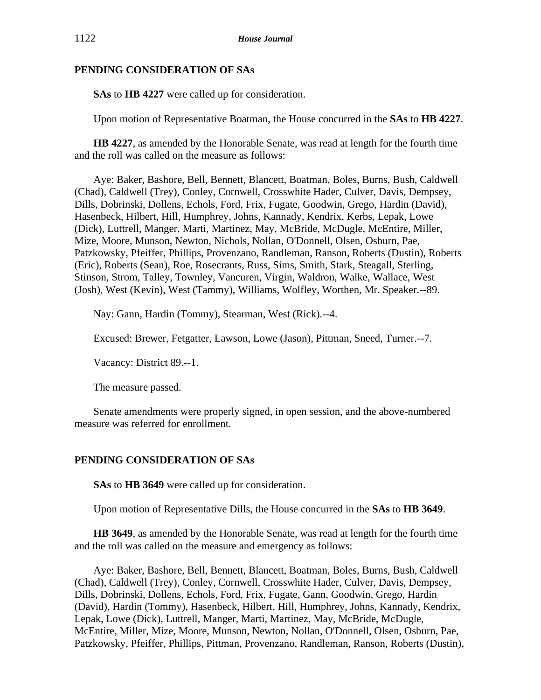## **PENDING CONSIDERATION OF SAs**

**SAs** to **HB 4227** were called up for consideration.

Upon motion of Representative Boatman, the House concurred in the **SAs** to **HB 4227**.

**HB 4227**, as amended by the Honorable Senate, was read at length for the fourth time and the roll was called on the measure as follows:

Aye: Baker, Bashore, Bell, Bennett, Blancett, Boatman, Boles, Burns, Bush, Caldwell (Chad), Caldwell (Trey), Conley, Cornwell, Crosswhite Hader, Culver, Davis, Dempsey, Dills, Dobrinski, Dollens, Echols, Ford, Frix, Fugate, Goodwin, Grego, Hardin (David), Hasenbeck, Hilbert, Hill, Humphrey, Johns, Kannady, Kendrix, Kerbs, Lepak, Lowe (Dick), Luttrell, Manger, Marti, Martinez, May, McBride, McDugle, McEntire, Miller, Mize, Moore, Munson, Newton, Nichols, Nollan, O'Donnell, Olsen, Osburn, Pae, Patzkowsky, Pfeiffer, Phillips, Provenzano, Randleman, Ranson, Roberts (Dustin), Roberts (Eric), Roberts (Sean), Roe, Rosecrants, Russ, Sims, Smith, Stark, Steagall, Sterling, Stinson, Strom, Talley, Townley, Vancuren, Virgin, Waldron, Walke, Wallace, West (Josh), West (Kevin), West (Tammy), Williams, Wolfley, Worthen, Mr. Speaker.--89.

Nay: Gann, Hardin (Tommy), Stearman, West (Rick).--4.

Excused: Brewer, Fetgatter, Lawson, Lowe (Jason), Pittman, Sneed, Turner.--7.

Vacancy: District 89.--1.

The measure passed.

Senate amendments were properly signed, in open session, and the above-numbered measure was referred for enrollment.

# **PENDING CONSIDERATION OF SAs**

**SAs** to **HB 3649** were called up for consideration.

Upon motion of Representative Dills, the House concurred in the **SAs** to **HB 3649**.

**HB 3649**, as amended by the Honorable Senate, was read at length for the fourth time and the roll was called on the measure and emergency as follows:

Aye: Baker, Bashore, Bell, Bennett, Blancett, Boatman, Boles, Burns, Bush, Caldwell (Chad), Caldwell (Trey), Conley, Cornwell, Crosswhite Hader, Culver, Davis, Dempsey, Dills, Dobrinski, Dollens, Echols, Ford, Frix, Fugate, Gann, Goodwin, Grego, Hardin (David), Hardin (Tommy), Hasenbeck, Hilbert, Hill, Humphrey, Johns, Kannady, Kendrix, Lepak, Lowe (Dick), Luttrell, Manger, Marti, Martinez, May, McBride, McDugle, McEntire, Miller, Mize, Moore, Munson, Newton, Nollan, O'Donnell, Olsen, Osburn, Pae, Patzkowsky, Pfeiffer, Phillips, Pittman, Provenzano, Randleman, Ranson, Roberts (Dustin),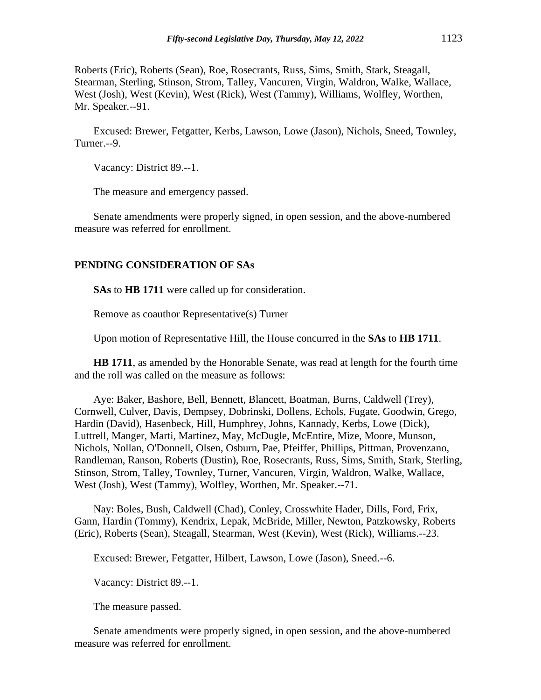Roberts (Eric), Roberts (Sean), Roe, Rosecrants, Russ, Sims, Smith, Stark, Steagall, Stearman, Sterling, Stinson, Strom, Talley, Vancuren, Virgin, Waldron, Walke, Wallace, West (Josh), West (Kevin), West (Rick), West (Tammy), Williams, Wolfley, Worthen, Mr. Speaker.--91.

Excused: Brewer, Fetgatter, Kerbs, Lawson, Lowe (Jason), Nichols, Sneed, Townley, Turner.--9.

Vacancy: District 89.--1.

The measure and emergency passed.

Senate amendments were properly signed, in open session, and the above-numbered measure was referred for enrollment.

#### **PENDING CONSIDERATION OF SAs**

**SAs** to **HB 1711** were called up for consideration.

Remove as coauthor Representative(s) Turner

Upon motion of Representative Hill, the House concurred in the **SAs** to **HB 1711**.

**HB 1711**, as amended by the Honorable Senate, was read at length for the fourth time and the roll was called on the measure as follows:

Aye: Baker, Bashore, Bell, Bennett, Blancett, Boatman, Burns, Caldwell (Trey), Cornwell, Culver, Davis, Dempsey, Dobrinski, Dollens, Echols, Fugate, Goodwin, Grego, Hardin (David), Hasenbeck, Hill, Humphrey, Johns, Kannady, Kerbs, Lowe (Dick), Luttrell, Manger, Marti, Martinez, May, McDugle, McEntire, Mize, Moore, Munson, Nichols, Nollan, O'Donnell, Olsen, Osburn, Pae, Pfeiffer, Phillips, Pittman, Provenzano, Randleman, Ranson, Roberts (Dustin), Roe, Rosecrants, Russ, Sims, Smith, Stark, Sterling, Stinson, Strom, Talley, Townley, Turner, Vancuren, Virgin, Waldron, Walke, Wallace, West (Josh), West (Tammy), Wolfley, Worthen, Mr. Speaker.--71.

Nay: Boles, Bush, Caldwell (Chad), Conley, Crosswhite Hader, Dills, Ford, Frix, Gann, Hardin (Tommy), Kendrix, Lepak, McBride, Miller, Newton, Patzkowsky, Roberts (Eric), Roberts (Sean), Steagall, Stearman, West (Kevin), West (Rick), Williams.--23.

Excused: Brewer, Fetgatter, Hilbert, Lawson, Lowe (Jason), Sneed.--6.

Vacancy: District 89.--1.

The measure passed.

Senate amendments were properly signed, in open session, and the above-numbered measure was referred for enrollment.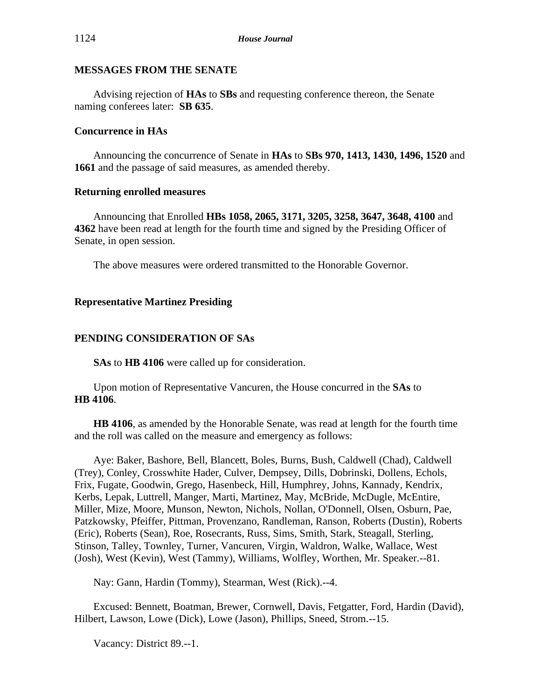# **MESSAGES FROM THE SENATE**

Advising rejection of **HAs** to **SBs** and requesting conference thereon, the Senate naming conferees later: **SB 635**.

# **Concurrence in HAs**

Announcing the concurrence of Senate in **HAs** to **SBs 970, 1413, 1430, 1496, 1520** and **1661** and the passage of said measures, as amended thereby.

## **Returning enrolled measures**

Announcing that Enrolled **HBs 1058, 2065, 3171, 3205, 3258, 3647, 3648, 4100** and **4362** have been read at length for the fourth time and signed by the Presiding Officer of Senate, in open session.

The above measures were ordered transmitted to the Honorable Governor.

# **Representative Martinez Presiding**

# **PENDING CONSIDERATION OF SAs**

**SAs** to **HB 4106** were called up for consideration.

Upon motion of Representative Vancuren, the House concurred in the **SAs** to **HB 4106**.

**HB 4106**, as amended by the Honorable Senate, was read at length for the fourth time and the roll was called on the measure and emergency as follows:

Aye: Baker, Bashore, Bell, Blancett, Boles, Burns, Bush, Caldwell (Chad), Caldwell (Trey), Conley, Crosswhite Hader, Culver, Dempsey, Dills, Dobrinski, Dollens, Echols, Frix, Fugate, Goodwin, Grego, Hasenbeck, Hill, Humphrey, Johns, Kannady, Kendrix, Kerbs, Lepak, Luttrell, Manger, Marti, Martinez, May, McBride, McDugle, McEntire, Miller, Mize, Moore, Munson, Newton, Nichols, Nollan, O'Donnell, Olsen, Osburn, Pae, Patzkowsky, Pfeiffer, Pittman, Provenzano, Randleman, Ranson, Roberts (Dustin), Roberts (Eric), Roberts (Sean), Roe, Rosecrants, Russ, Sims, Smith, Stark, Steagall, Sterling, Stinson, Talley, Townley, Turner, Vancuren, Virgin, Waldron, Walke, Wallace, West (Josh), West (Kevin), West (Tammy), Williams, Wolfley, Worthen, Mr. Speaker.--81.

Nay: Gann, Hardin (Tommy), Stearman, West (Rick).--4.

Excused: Bennett, Boatman, Brewer, Cornwell, Davis, Fetgatter, Ford, Hardin (David), Hilbert, Lawson, Lowe (Dick), Lowe (Jason), Phillips, Sneed, Strom.--15.

Vacancy: District 89.--1.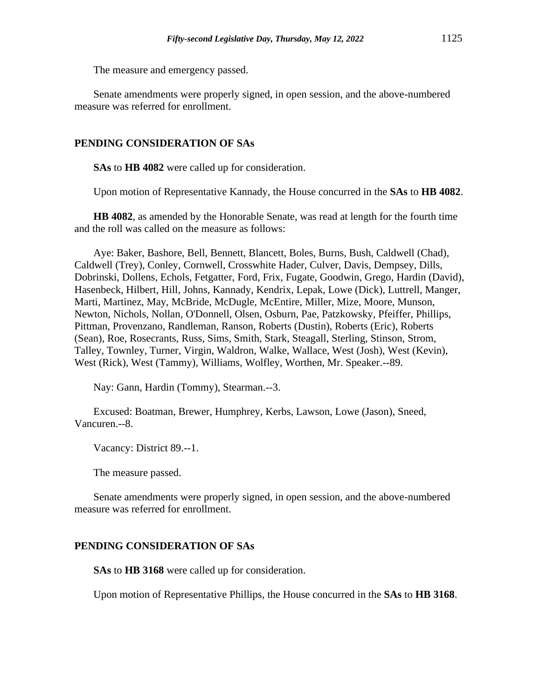The measure and emergency passed.

Senate amendments were properly signed, in open session, and the above-numbered measure was referred for enrollment.

#### **PENDING CONSIDERATION OF SAs**

**SAs** to **HB 4082** were called up for consideration.

Upon motion of Representative Kannady, the House concurred in the **SAs** to **HB 4082**.

**HB 4082**, as amended by the Honorable Senate, was read at length for the fourth time and the roll was called on the measure as follows:

Aye: Baker, Bashore, Bell, Bennett, Blancett, Boles, Burns, Bush, Caldwell (Chad), Caldwell (Trey), Conley, Cornwell, Crosswhite Hader, Culver, Davis, Dempsey, Dills, Dobrinski, Dollens, Echols, Fetgatter, Ford, Frix, Fugate, Goodwin, Grego, Hardin (David), Hasenbeck, Hilbert, Hill, Johns, Kannady, Kendrix, Lepak, Lowe (Dick), Luttrell, Manger, Marti, Martinez, May, McBride, McDugle, McEntire, Miller, Mize, Moore, Munson, Newton, Nichols, Nollan, O'Donnell, Olsen, Osburn, Pae, Patzkowsky, Pfeiffer, Phillips, Pittman, Provenzano, Randleman, Ranson, Roberts (Dustin), Roberts (Eric), Roberts (Sean), Roe, Rosecrants, Russ, Sims, Smith, Stark, Steagall, Sterling, Stinson, Strom, Talley, Townley, Turner, Virgin, Waldron, Walke, Wallace, West (Josh), West (Kevin), West (Rick), West (Tammy), Williams, Wolfley, Worthen, Mr. Speaker.--89.

Nay: Gann, Hardin (Tommy), Stearman.--3.

Excused: Boatman, Brewer, Humphrey, Kerbs, Lawson, Lowe (Jason), Sneed, Vancuren.--8.

Vacancy: District 89.--1.

The measure passed.

Senate amendments were properly signed, in open session, and the above-numbered measure was referred for enrollment.

#### **PENDING CONSIDERATION OF SAs**

**SAs** to **HB 3168** were called up for consideration.

Upon motion of Representative Phillips, the House concurred in the **SAs** to **HB 3168**.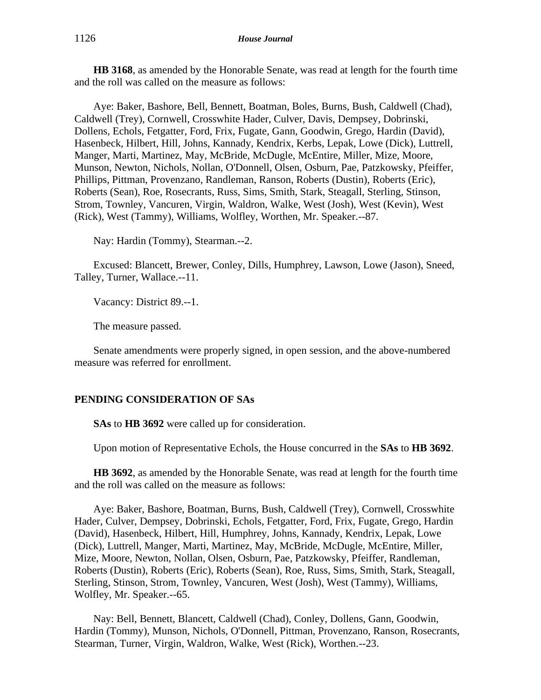**HB 3168**, as amended by the Honorable Senate, was read at length for the fourth time and the roll was called on the measure as follows:

Aye: Baker, Bashore, Bell, Bennett, Boatman, Boles, Burns, Bush, Caldwell (Chad), Caldwell (Trey), Cornwell, Crosswhite Hader, Culver, Davis, Dempsey, Dobrinski, Dollens, Echols, Fetgatter, Ford, Frix, Fugate, Gann, Goodwin, Grego, Hardin (David), Hasenbeck, Hilbert, Hill, Johns, Kannady, Kendrix, Kerbs, Lepak, Lowe (Dick), Luttrell, Manger, Marti, Martinez, May, McBride, McDugle, McEntire, Miller, Mize, Moore, Munson, Newton, Nichols, Nollan, O'Donnell, Olsen, Osburn, Pae, Patzkowsky, Pfeiffer, Phillips, Pittman, Provenzano, Randleman, Ranson, Roberts (Dustin), Roberts (Eric), Roberts (Sean), Roe, Rosecrants, Russ, Sims, Smith, Stark, Steagall, Sterling, Stinson, Strom, Townley, Vancuren, Virgin, Waldron, Walke, West (Josh), West (Kevin), West (Rick), West (Tammy), Williams, Wolfley, Worthen, Mr. Speaker.--87.

Nay: Hardin (Tommy), Stearman.--2.

Excused: Blancett, Brewer, Conley, Dills, Humphrey, Lawson, Lowe (Jason), Sneed, Talley, Turner, Wallace.--11.

Vacancy: District 89.--1.

The measure passed.

Senate amendments were properly signed, in open session, and the above-numbered measure was referred for enrollment.

#### **PENDING CONSIDERATION OF SAs**

**SAs** to **HB 3692** were called up for consideration.

Upon motion of Representative Echols, the House concurred in the **SAs** to **HB 3692**.

**HB 3692**, as amended by the Honorable Senate, was read at length for the fourth time and the roll was called on the measure as follows:

Aye: Baker, Bashore, Boatman, Burns, Bush, Caldwell (Trey), Cornwell, Crosswhite Hader, Culver, Dempsey, Dobrinski, Echols, Fetgatter, Ford, Frix, Fugate, Grego, Hardin (David), Hasenbeck, Hilbert, Hill, Humphrey, Johns, Kannady, Kendrix, Lepak, Lowe (Dick), Luttrell, Manger, Marti, Martinez, May, McBride, McDugle, McEntire, Miller, Mize, Moore, Newton, Nollan, Olsen, Osburn, Pae, Patzkowsky, Pfeiffer, Randleman, Roberts (Dustin), Roberts (Eric), Roberts (Sean), Roe, Russ, Sims, Smith, Stark, Steagall, Sterling, Stinson, Strom, Townley, Vancuren, West (Josh), West (Tammy), Williams, Wolfley, Mr. Speaker.--65.

Nay: Bell, Bennett, Blancett, Caldwell (Chad), Conley, Dollens, Gann, Goodwin, Hardin (Tommy), Munson, Nichols, O'Donnell, Pittman, Provenzano, Ranson, Rosecrants, Stearman, Turner, Virgin, Waldron, Walke, West (Rick), Worthen.--23.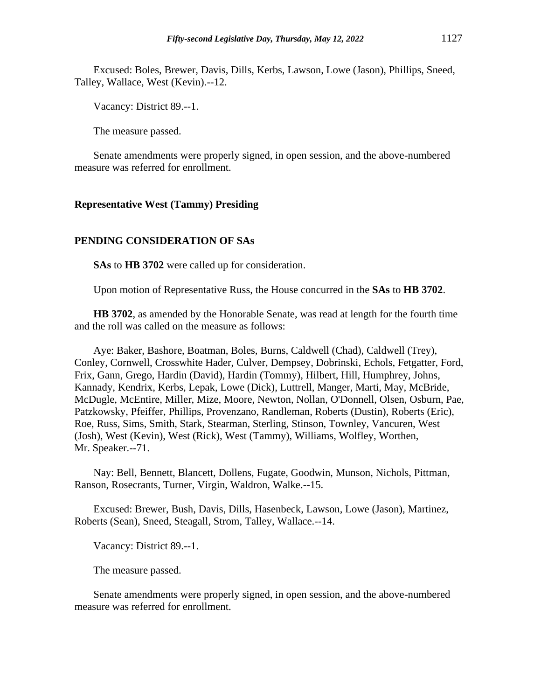Excused: Boles, Brewer, Davis, Dills, Kerbs, Lawson, Lowe (Jason), Phillips, Sneed, Talley, Wallace, West (Kevin).--12.

Vacancy: District 89.--1.

The measure passed.

Senate amendments were properly signed, in open session, and the above-numbered measure was referred for enrollment.

#### **Representative West (Tammy) Presiding**

#### **PENDING CONSIDERATION OF SAs**

**SAs** to **HB 3702** were called up for consideration.

Upon motion of Representative Russ, the House concurred in the **SAs** to **HB 3702**.

**HB 3702**, as amended by the Honorable Senate, was read at length for the fourth time and the roll was called on the measure as follows:

Aye: Baker, Bashore, Boatman, Boles, Burns, Caldwell (Chad), Caldwell (Trey), Conley, Cornwell, Crosswhite Hader, Culver, Dempsey, Dobrinski, Echols, Fetgatter, Ford, Frix, Gann, Grego, Hardin (David), Hardin (Tommy), Hilbert, Hill, Humphrey, Johns, Kannady, Kendrix, Kerbs, Lepak, Lowe (Dick), Luttrell, Manger, Marti, May, McBride, McDugle, McEntire, Miller, Mize, Moore, Newton, Nollan, O'Donnell, Olsen, Osburn, Pae, Patzkowsky, Pfeiffer, Phillips, Provenzano, Randleman, Roberts (Dustin), Roberts (Eric), Roe, Russ, Sims, Smith, Stark, Stearman, Sterling, Stinson, Townley, Vancuren, West (Josh), West (Kevin), West (Rick), West (Tammy), Williams, Wolfley, Worthen, Mr. Speaker.--71.

Nay: Bell, Bennett, Blancett, Dollens, Fugate, Goodwin, Munson, Nichols, Pittman, Ranson, Rosecrants, Turner, Virgin, Waldron, Walke.--15.

Excused: Brewer, Bush, Davis, Dills, Hasenbeck, Lawson, Lowe (Jason), Martinez, Roberts (Sean), Sneed, Steagall, Strom, Talley, Wallace.--14.

Vacancy: District 89.--1.

The measure passed.

Senate amendments were properly signed, in open session, and the above-numbered measure was referred for enrollment.